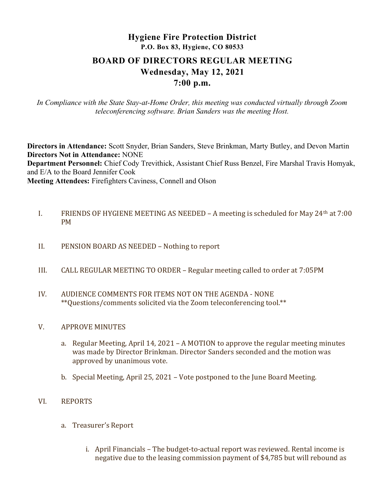# Hygiene Fire Protection District P.O. Box 83, Hygiene, CO 80533 BOARD OF DIRECTORS REGULAR MEETING Wednesday, May 12, 2021 7:00 p.m.

In Compliance with the State Stay-at-Home Order, this meeting was conducted virtually through Zoom teleconferencing software. Brian Sanders was the meeting Host.

Directors in Attendance: Scott Snyder, Brian Sanders, Steve Brinkman, Marty Butley, and Devon Martin Directors Not in Attendance: NONE

Department Personnel: Chief Cody Trevithick, Assistant Chief Russ Benzel, Fire Marshal Travis Homyak, and E/A to the Board Jennifer Cook

Meeting Attendees: Firefighters Caviness, Connell and Olson

- I. FRIENDS OF HYGIENE MEETING AS NEEDED A meeting is scheduled for May  $24<sup>th</sup>$  at 7:00 PM
- II. PENSION BOARD AS NEEDED Nothing to report
- III. CALL REGULAR MEETING TO ORDER Regular meeting called to order at 7:05PM
- IV. AUDIENCE COMMENTS FOR ITEMS NOT ON THE AGENDA NONE \*\*Questions/comments solicited via the Zoom teleconferencing tool.\*\*
- V. APPROVE MINUTES
	- a. Regular Meeting, April 14, 2021 A MOTION to approve the regular meeting minutes was made by Director Brinkman. Director Sanders seconded and the motion was approved by unanimous vote.
	- b. Special Meeting, April 25, 2021 Vote postponed to the June Board Meeting.
- VI. REPORTS
	- a. Treasurer's Report
		- i. April Financials The budget-to-actual report was reviewed. Rental income is negative due to the leasing commission payment of \$4,785 but will rebound as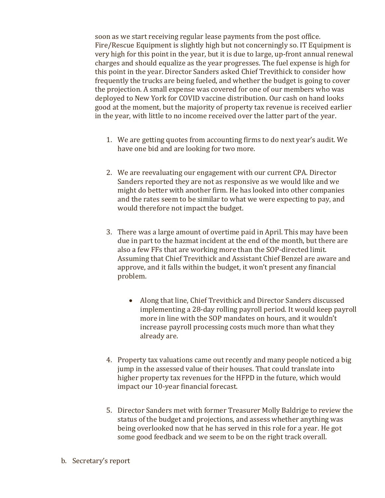soon as we start receiving regular lease payments from the post office. Fire/Rescue Equipment is slightly high but not concerningly so. IT Equipment is very high for this point in the year, but it is due to large, up-front annual renewal charges and should equalize as the year progresses. The fuel expense is high for this point in the year. Director Sanders asked Chief Trevithick to consider how frequently the trucks are being fueled, and whether the budget is going to cover the projection. A small expense was covered for one of our members who was deployed to New York for COVID vaccine distribution. Our cash on hand looks good at the moment, but the majority of property tax revenue is received earlier in the year, with little to no income received over the latter part of the year.

- 1. We are getting quotes from accounting firms to do next year's audit. We have one bid and are looking for two more.
- 2. We are reevaluating our engagement with our current CPA. Director Sanders reported they are not as responsive as we would like and we might do better with another firm. He has looked into other companies and the rates seem to be similar to what we were expecting to pay, and would therefore not impact the budget.
- 3. There was a large amount of overtime paid in April. This may have been due in part to the hazmat incident at the end of the month, but there are also a few FFs that are working more than the SOP-directed limit. Assuming that Chief Trevithick and Assistant Chief Benzel are aware and approve, and it falls within the budget, it won't present any financial problem.
	- Along that line, Chief Trevithick and Director Sanders discussed implementing a 28-day rolling payroll period. It would keep payroll more in line with the SOP mandates on hours, and it wouldn't increase payroll processing costs much more than what they already are.
- 4. Property tax valuations came out recently and many people noticed a big jump in the assessed value of their houses. That could translate into higher property tax revenues for the HFPD in the future, which would impact our 10-year financial forecast.
- 5. Director Sanders met with former Treasurer Molly Baldrige to review the status of the budget and projections, and assess whether anything was being overlooked now that he has served in this role for a year. He got some good feedback and we seem to be on the right track overall.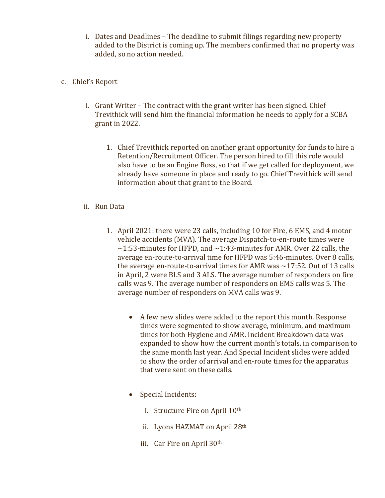- i. Dates and Deadlines The deadline to submit filings regarding new property added to the District is coming up. The members confirmed that no property was added, so no action needed.
- c. Chief's Report
	- i. Grant Writer The contract with the grant writer has been signed. Chief Trevithick will send him the financial information he needs to apply for a SCBA grant in 2022.
		- 1. Chief Trevithick reported on another grant opportunity for funds to hire a Retention/Recruitment Officer. The person hired to fill this role would also have to be an Engine Boss, so that if we get called for deployment, we already have someone in place and ready to go. Chief Trevithick will send information about that grant to the Board.
	- ii. Run Data
		- 1. April 2021: there were 23 calls, including 10 for Fire, 6 EMS, and 4 motor vehicle accidents (MVA). The average Dispatch-to-en-route times were  $\sim$ 1:53-minutes for HFPD, and  $\sim$ 1:43-minutes for AMR. Over 22 calls, the average en-route-to-arrival time for HFPD was 5:46-minutes. Over 8 calls, the average en-route-to-arrival times for AMR was  $\sim$  17:52. Out of 13 calls in April, 2 were BLS and 3 ALS. The average number of responders on fire calls was 9. The average number of responders on EMS calls was 5. The average number of responders on MVA calls was 9.
			- A few new slides were added to the report this month. Response times were segmented to show average, minimum, and maximum times for both Hygiene and AMR. Incident Breakdown data was expanded to show how the current month's totals, in comparison to the same month last year. And Special Incident slides were added to show the order of arrival and en-route times for the apparatus that were sent on these calls.
			- Special Incidents:
				- i. Structure Fire on April  $10<sup>th</sup>$
				- ii. Lyons HAZMAT on April 28th
				- iii. Car Fire on April 30th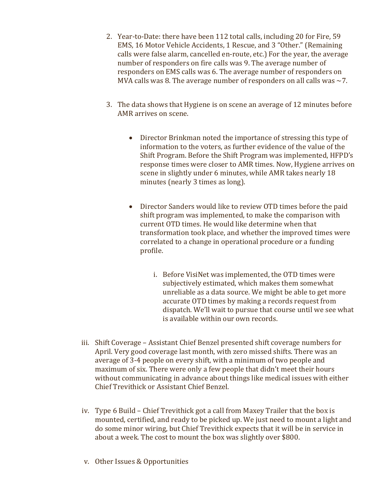- 2. Year-to-Date: there have been 112 total calls, including 20 for Fire, 59 EMS, 16 Motor Vehicle Accidents, 1 Rescue, and 3 "Other." (Remaining calls were false alarm, cancelled en-route, etc.) For the year, the average number of responders on fire calls was 9. The average number of responders on EMS calls was 6. The average number of responders on MVA calls was 8. The average number of responders on all calls was  $\sim$ 7.
- 3. The data shows that Hygiene is on scene an average of 12 minutes before AMR arrives on scene.
	- Director Brinkman noted the importance of stressing this type of information to the voters, as further evidence of the value of the Shift Program. Before the Shift Program was implemented, HFPD's response times were closer to AMR times. Now, Hygiene arrives on scene in slightly under 6 minutes, while AMR takes nearly 18 minutes (nearly 3 times as long).
	- Director Sanders would like to review OTD times before the paid shift program was implemented, to make the comparison with current OTD times. He would like determine when that transformation took place, and whether the improved times were correlated to a change in operational procedure or a funding profile.
		- i. Before VisiNet was implemented, the OTD times were subjectively estimated, which makes them somewhat unreliable as a data source. We might be able to get more accurate OTD times by making a records request from dispatch. We'll wait to pursue that course until we see what is available within our own records.
- iii. Shift Coverage Assistant Chief Benzel presented shift coverage numbers for April. Very good coverage last month, with zero missed shifts. There was an average of 3-4 people on every shift, with a minimum of two people and maximum of six. There were only a few people that didn't meet their hours without communicating in advance about things like medical issues with either Chief Trevithick or Assistant Chief Benzel.
- iv. Type 6 Build Chief Trevithick got a call from Maxey Trailer that the box is mounted, certified, and ready to be picked up. We just need to mount a light and do some minor wiring, but Chief Trevithick expects that it will be in service in about a week. The cost to mount the box was slightly over \$800.
- v. Other Issues & Opportunities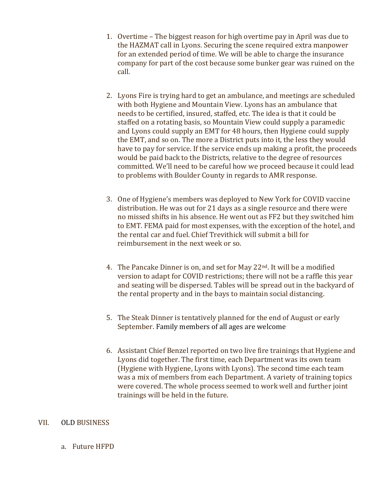- 1. Overtime The biggest reason for high overtime pay in April was due to the HAZMAT call in Lyons. Securing the scene required extra manpower for an extended period of time. We will be able to charge the insurance company for part of the cost because some bunker gear was ruined on the call.
- 2. Lyons Fire is trying hard to get an ambulance, and meetings are scheduled with both Hygiene and Mountain View. Lyons has an ambulance that needs to be certified, insured, staffed, etc. The idea is that it could be staffed on a rotating basis, so Mountain View could supply a paramedic and Lyons could supply an EMT for 48 hours, then Hygiene could supply the EMT, and so on. The more a District puts into it, the less they would have to pay for service. If the service ends up making a profit, the proceeds would be paid back to the Districts, relative to the degree of resources committed. We'll need to be careful how we proceed because it could lead to problems with Boulder County in regards to AMR response.
- 3. One of Hygiene's members was deployed to New York for COVID vaccine distribution. He was out for 21 days as a single resource and there were no missed shifts in his absence. He went out as FF2 but they switched him to EMT. FEMA paid for most expenses, with the exception of the hotel, and the rental car and fuel. Chief Trevithick will submit a bill for reimbursement in the next week or so.
- 4. The Pancake Dinner is on, and set for May 22nd. It will be a modified version to adapt for COVID restrictions; there will not be a raffle this year and seating will be dispersed. Tables will be spread out in the backyard of the rental property and in the bays to maintain social distancing.
- 5. The Steak Dinner is tentatively planned for the end of August or early September. Family members of all ages are welcome
- 6. Assistant Chief Benzel reported on two live fire trainings that Hygiene and Lyons did together. The first time, each Department was its own team (Hygiene with Hygiene, Lyons with Lyons). The second time each team was a mix of members from each Department. A variety of training topics were covered. The whole process seemed to work well and further joint trainings will be held in the future.

# VII. OLD BUSINESS

a. Future HFPD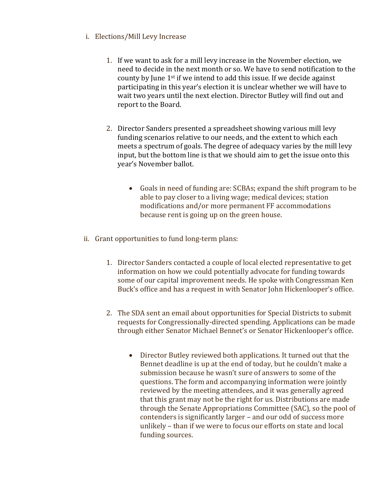- i. Elections/Mill Levy Increase
	- 1. If we want to ask for a mill levy increase in the November election, we need to decide in the next month or so. We have to send notification to the county by June 1st if we intend to add this issue. If we decide against participating in this year's election it is unclear whether we will have to wait two years until the next election. Director Butley will find out and report to the Board.
	- 2. Director Sanders presented a spreadsheet showing various mill levy funding scenarios relative to our needs, and the extent to which each meets a spectrum of goals. The degree of adequacy varies by the mill levy input, but the bottom line is that we should aim to get the issue onto this year's November ballot.
		- Goals in need of funding are: SCBAs; expand the shift program to be able to pay closer to a living wage; medical devices; station modifications and/or more permanent FF accommodations because rent is going up on the green house.
- ii. Grant opportunities to fund long-term plans:
	- 1. Director Sanders contacted a couple of local elected representative to get information on how we could potentially advocate for funding towards some of our capital improvement needs. He spoke with Congressman Ken Buck's office and has a request in with Senator John Hickenlooper's office.
	- 2. The SDA sent an email about opportunities for Special Districts to submit requests for Congressionally-directed spending. Applications can be made through either Senator Michael Bennet's or Senator Hickenlooper's office.
		- Director Butley reviewed both applications. It turned out that the Bennet deadline is up at the end of today, but he couldn't make a submission because he wasn't sure of answers to some of the questions. The form and accompanying information were jointly reviewed by the meeting attendees, and it was generally agreed that this grant may not be the right for us. Distributions are made through the Senate Appropriations Committee (SAC), so the pool of contenders is significantly larger – and our odd of success more unlikely – than if we were to focus our efforts on state and local funding sources.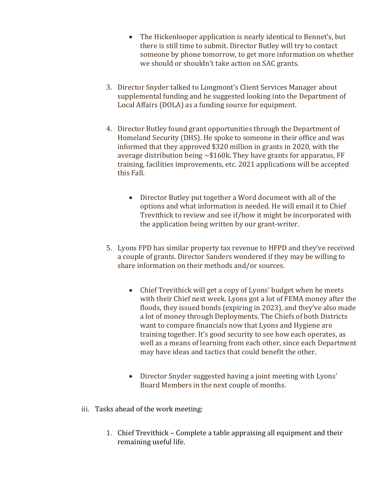- The Hickenlooper application is nearly identical to Bennet's, but there is still time to submit. Director Butley will try to contact someone by phone tomorrow, to get more information on whether we should or shouldn't take action on SAC grants.
- 3. Director Snyder talked to Longmont's Client Services Manager about supplemental funding and he suggested looking into the Department of Local Affairs (DOLA) as a funding source for equipment.
- 4. Director Butley found grant opportunities through the Department of Homeland Security (DHS). He spoke to someone in their office and was informed that they approved \$320 million in grants in 2020, with the average distribution being  $\sim $160k$ . They have grants for apparatus, FF training, facilities improvements, etc. 2021 applications will be accepted this Fall.
	- Director Butley put together a Word document with all of the options and what information is needed. He will email it to Chief Trevithick to review and see if/how it might be incorporated with the application being written by our grant-writer.
- 5. Lyons FPD has similar property tax revenue to HFPD and they've received a couple of grants. Director Sanders wondered if they may be willing to share information on their methods and/or sources.
	- Chief Trevithick will get a copy of Lyons' budget when he meets with their Chief next week. Lyons got a lot of FEMA money after the floods, they issued bonds (expiring in 2023), and they've also made a lot of money through Deployments. The Chiefs of both Districts want to compare financials now that Lyons and Hygiene are training together. It's good security to see how each operates, as well as a means of learning from each other, since each Department may have ideas and tactics that could benefit the other.
	- Director Snyder suggested having a joint meeting with Lyons' Board Members in the next couple of months.
- iii. Tasks ahead of the work meeting:
	- 1. Chief Trevithick Complete a table appraising all equipment and their remaining useful life.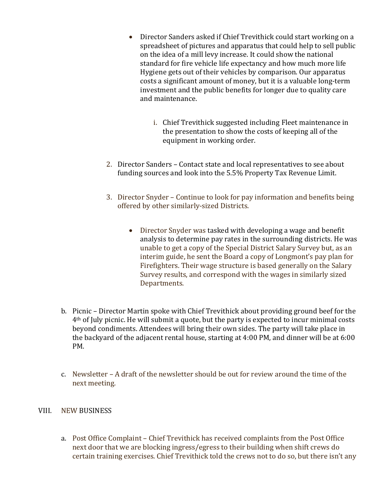- Director Sanders asked if Chief Trevithick could start working on a spreadsheet of pictures and apparatus that could help to sell public on the idea of a mill levy increase. It could show the national standard for fire vehicle life expectancy and how much more life Hygiene gets out of their vehicles by comparison. Our apparatus costs a significant amount of money, but it is a valuable long-term investment and the public benefits for longer due to quality care and maintenance.
	- i. Chief Trevithick suggested including Fleet maintenance in the presentation to show the costs of keeping all of the equipment in working order.
- 2. Director Sanders Contact state and local representatives to see about funding sources and look into the 5.5% Property Tax Revenue Limit.
- 3. Director Snyder Continue to look for pay information and benefits being offered by other similarly-sized Districts.
	- Director Snyder was tasked with developing a wage and benefit analysis to determine pay rates in the surrounding districts. He was unable to get a copy of the Special District Salary Survey but, as an interim guide, he sent the Board a copy of Longmont's pay plan for Firefighters. Their wage structure is based generally on the Salary Survey results, and correspond with the wages in similarly sized Departments.
- b. Picnic Director Martin spoke with Chief Trevithick about providing ground beef for the 4th of July picnic. He will submit a quote, but the party is expected to incur minimal costs beyond condiments. Attendees will bring their own sides. The party will take place in the backyard of the adjacent rental house, starting at 4:00 PM, and dinner will be at 6:00 PM.
- c. Newsletter A draft of the newsletter should be out for review around the time of the next meeting.

# VIII. NEW BUSINESS

a. Post Office Complaint – Chief Trevithick has received complaints from the Post Office next door that we are blocking ingress/egress to their building when shift crews do certain training exercises. Chief Trevithick told the crews not to do so, but there isn't any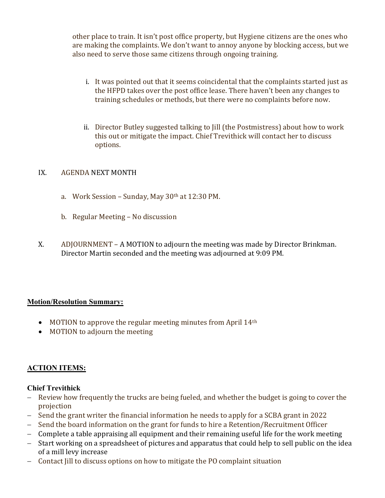other place to train. It isn't post office property, but Hygiene citizens are the ones who are making the complaints. We don't want to annoy anyone by blocking access, but we also need to serve those same citizens through ongoing training.

- i. It was pointed out that it seems coincidental that the complaints started just as the HFPD takes over the post office lease. There haven't been any changes to training schedules or methods, but there were no complaints before now.
- ii. Director Butley suggested talking to Jill (the Postmistress) about how to work this out or mitigate the impact. Chief Trevithick will contact her to discuss options.

# IX. AGENDA NEXT MONTH

- a. Work Session Sunday, May 30th at 12:30 PM.
- b. Regular Meeting No discussion
- X. ADJOURNMENT A MOTION to adjourn the meeting was made by Director Brinkman. Director Martin seconded and the meeting was adjourned at 9:09 PM.

# Motion/Resolution Summary:

- $\bullet$  MOTION to approve the regular meeting minutes from April 14<sup>th</sup>
- MOTION to adjourn the meeting

# ACTION ITEMS:

# Chief Trevithick

- Review how frequently the trucks are being fueled, and whether the budget is going to cover the projection
- Send the grant writer the financial information he needs to apply for a SCBA grant in 2022
- Send the board information on the grant for funds to hire a Retention/Recruitment Officer
- Complete a table appraising all equipment and their remaining useful life for the work meeting
- Start working on a spreadsheet of pictures and apparatus that could help to sell public on the idea of a mill levy increase
- Contact Jill to discuss options on how to mitigate the PO complaint situation